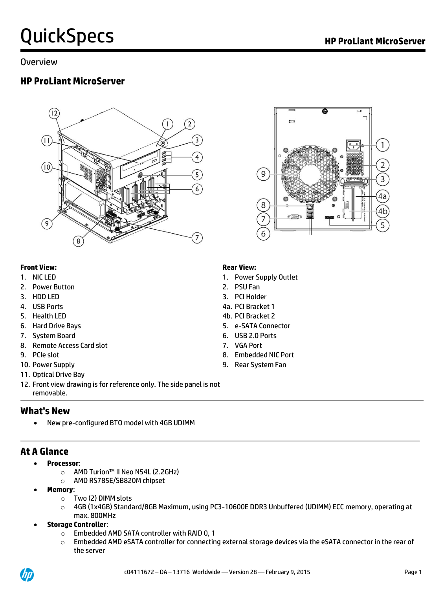#### Overview

### **HP ProLiant MicroServer**





#### **Front View: Rear View:**

- 
- 2. Power Button 2. PSU Fan
- 
- 
- 
- 
- 7. System Board 6. USB 2.0 Ports
- 8. Remote Access Card slot 7. VGA Port
- 
- 
- 11. Optical Drive Bay
- 12. Front view drawing is for reference only. The side panel is not removable.

### **What's New**

New pre-configured BTO model with 4GB UDIMM

### **At A Glance**

- **Processor**:
	- o AMD Turion™ II Neo N54L (2.2GHz)
	- o AMD RS785E/SB820M chipset
- **Memory**:
	- o Two (2) DIMM slots
	- o 4GB (1x4GB) Standard/8GB Maximum, using PC3-10600E DDR3 Unbuffered (UDIMM) ECC memory, operating at max. 800MHz
- **Storage Controller**:
	- o Embedded AMD SATA controller with RAID 0, 1
	- $\circ$  Embedded AMD eSATA controller for connecting external storage devices via the eSATA connector in the rear of the server

- 1. NIC LED 1. Power Supply Outlet
	-
- 3. HDD LED 3. PCI Holder
- 4. USB Ports 4a. PCI Bracket 1
- 5. Health LED 4b. PCI Bracket 2
- 6. Hard Drive Bays 5. e-SATA Connector
	-
	-
- 9. PCIe slot 8. Embedded NIC Port
- 10. Power Supply 9. Rear System Fan

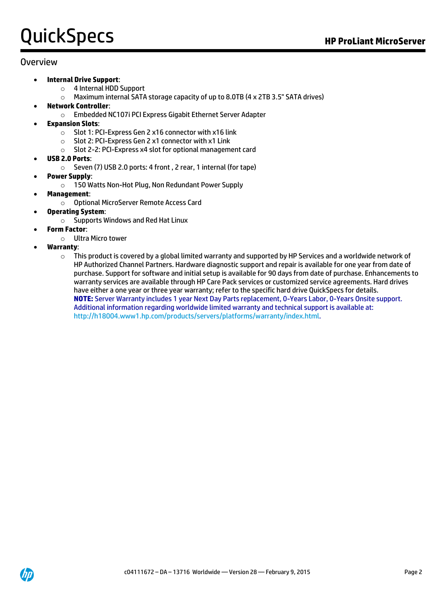#### Overview

- **Internal Drive Support**:
	- o 4 Internal HDD Support
	- $\circ$  Maximum internal SATA storage capacity of up to 8.0TB (4 x 2TB 3.5" SATA drives)
- **Network Controller**:
	- o Embedded NC107i PCI Express Gigabit Ethernet Server Adapter
- **Expansion Slots**:
	- o Slot 1: PCI-Express Gen 2 x16 connector with x16 link
	- o Slot 2: PCI-Express Gen 2 x1 connector with x1 Link
	- o Slot 2-2: PCI-Express x4 slot for optional management card
- **USB 2.0 Ports**:
	- o Seven (7) USB 2.0 ports: 4 front , 2 rear, 1 internal (for tape)
- **Power Supply**:
	- o 150 Watts Non-Hot Plug, Non Redundant Power Supply
	- **Management**:
		- o Optional MicroServer Remote Access Card
- **Operating System**:
	- o Supports Windows and Red Hat Linux
- **Form Factor**:
	- o Ultra Micro tower
- **Warranty**:
	- $\circ$  This product is covered by a global limited warranty and supported by HP Services and a worldwide network of HP Authorized Channel Partners. Hardware diagnostic support and repair is available for one year from date of purchase. Support for software and initial setup is available for 90 days from date of purchase. Enhancements to warranty services are available through HP Care Pack services or customized service agreements. Hard drives have either a one year or three year warranty; refer to the specific hard drive QuickSpecs for details. **NOTE:** Server Warranty includes 1 year Next Day Parts replacement, 0-Years Labor, 0-Years Onsite support. Additional information regarding worldwide limited warranty and technical support is available at: [http://h18004.www1.hp.com/products/servers/platforms/warranty/index.html.](http://h18004.www1.hp.com/products/servers/platforms/warranty/index.html)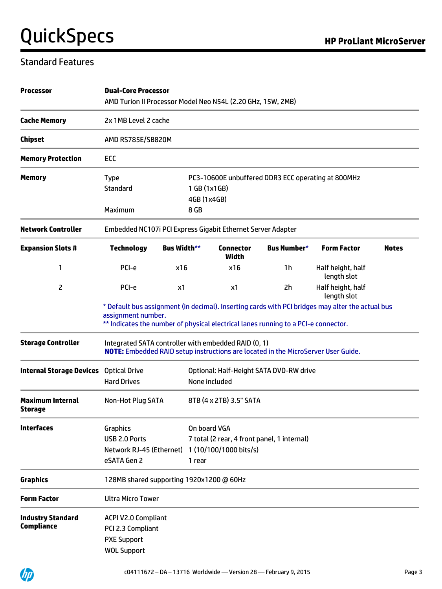## Standard Features

| <b>Processor</b>                              | <b>Dual-Core Processor</b><br>AMD Turion II Processor Model Neo N54L (2.20 GHz, 15W, 2MB)                |                    |                             |                                  |                                                                                          |                                                                                                  |              |
|-----------------------------------------------|----------------------------------------------------------------------------------------------------------|--------------------|-----------------------------|----------------------------------|------------------------------------------------------------------------------------------|--------------------------------------------------------------------------------------------------|--------------|
| <b>Cache Memory</b>                           | 2x 1MB Level 2 cache                                                                                     |                    |                             |                                  |                                                                                          |                                                                                                  |              |
| <b>Chipset</b>                                | AMD RS785E/SB820M                                                                                        |                    |                             |                                  |                                                                                          |                                                                                                  |              |
| <b>Memory Protection</b>                      | ECC                                                                                                      |                    |                             |                                  |                                                                                          |                                                                                                  |              |
| <b>Memory</b>                                 | <b>Type</b><br><b>Standard</b>                                                                           |                    | 1 GB (1x1GB)<br>4GB (1x4GB) |                                  | PC3-10600E unbuffered DDR3 ECC operating at 800MHz                                       |                                                                                                  |              |
|                                               | Maximum                                                                                                  |                    | 8 GB                        |                                  |                                                                                          |                                                                                                  |              |
| <b>Network Controller</b>                     | Embedded NC107i PCI Express Gigabit Ethernet Server Adapter                                              |                    |                             |                                  |                                                                                          |                                                                                                  |              |
| <b>Expansion Slots #</b>                      | <b>Technology</b>                                                                                        | <b>Bus Width**</b> |                             | <b>Connector</b><br><b>Width</b> | Bus Number*                                                                              | <b>Form Factor</b>                                                                               | <b>Notes</b> |
| 1                                             | PCI-e                                                                                                    | x16                |                             | x16                              | 1h                                                                                       | Half height, half<br>length slot                                                                 |              |
| 2                                             | PCI-e                                                                                                    | x1                 |                             | x1                               | 2h                                                                                       | Half height, half<br>length slot                                                                 |              |
|                                               | assignment number.<br>** Indicates the number of physical electrical lanes running to a PCI-e connector. |                    |                             |                                  |                                                                                          | * Default bus assignment (in decimal). Inserting cards with PCI bridges may alter the actual bus |              |
| <b>Storage Controller</b>                     | Integrated SATA controller with embedded RAID (0, 1)                                                     |                    |                             |                                  | <b>NOTE:</b> Embedded RAID setup instructions are located in the MicroServer User Guide. |                                                                                                  |              |
| <b>Internal Storage Devices</b>               | <b>Optical Drive</b><br><b>Hard Drives</b>                                                               |                    |                             | None included                    | Optional: Half-Height SATA DVD-RW drive                                                  |                                                                                                  |              |
| <b>Maximum Internal</b><br>Storage            | Non-Hot Plug SATA                                                                                        |                    |                             | 8TB (4 x 2TB) 3.5" SATA          |                                                                                          |                                                                                                  |              |
| <b>Interfaces</b>                             | Graphics<br>USB 2.0 Ports<br>Network RJ-45 (Ethernet) 1 (10/100/1000 bits/s)<br>eSATA Gen 2              |                    | 1 rear                      | On board VGA                     | 7 total (2 rear, 4 front panel, 1 internal)                                              |                                                                                                  |              |
| <b>Graphics</b>                               | 128MB shared supporting 1920x1200 @ 60Hz                                                                 |                    |                             |                                  |                                                                                          |                                                                                                  |              |
| <b>Form Factor</b>                            | <b>Ultra Micro Tower</b>                                                                                 |                    |                             |                                  |                                                                                          |                                                                                                  |              |
| <b>Industry Standard</b><br><b>Compliance</b> | <b>ACPI V2.0 Compliant</b><br>PCI 2.3 Compliant<br><b>PXE Support</b><br><b>WOL Support</b>              |                    |                             |                                  |                                                                                          |                                                                                                  |              |

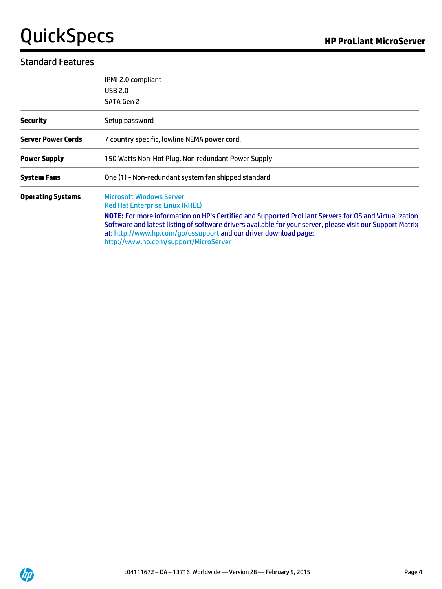### Standard Features

|                           | IPMI 2.0 compliant<br><b>USB 2.0</b><br><b>SATA Gen 2</b>                                                                                                                                                                                                                                                                                                                                                     |
|---------------------------|---------------------------------------------------------------------------------------------------------------------------------------------------------------------------------------------------------------------------------------------------------------------------------------------------------------------------------------------------------------------------------------------------------------|
| <b>Security</b>           | Setup password                                                                                                                                                                                                                                                                                                                                                                                                |
| <b>Server Power Cords</b> | 7 country specific, lowline NEMA power cord.                                                                                                                                                                                                                                                                                                                                                                  |
| <b>Power Supply</b>       | 150 Watts Non-Hot Plug, Non redundant Power Supply                                                                                                                                                                                                                                                                                                                                                            |
| <b>System Fans</b>        | One (1) - Non-redundant system fan shipped standard                                                                                                                                                                                                                                                                                                                                                           |
| <b>Operating Systems</b>  | <b>Microsoft Windows Server</b><br><b>Red Hat Enterprise Linux (RHEL)</b><br>NOTE: For more information on HP's Certified and Supported ProLiant Servers for OS and Virtualization<br>Software and latest listing of software drivers available for your server, please visit our Support Matrix<br>at: http://www.hp.com/go/ossupport and our driver download page:<br>http://www.hp.com/support/MicroServer |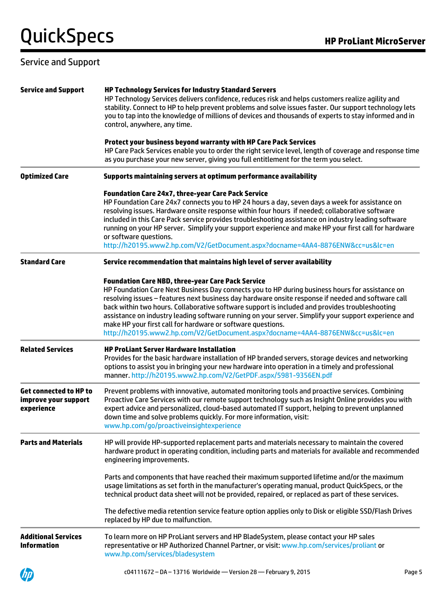### Service and Support

| <b>Service and Support</b>                                          | <b>HP Technology Services for Industry Standard Servers</b><br>HP Technology Services delivers confidence, reduces risk and helps customers realize agility and<br>stability. Connect to HP to help prevent problems and solve issues faster. Our support technology lets<br>you to tap into the knowledge of millions of devices and thousands of experts to stay informed and in<br>control, anywhere, any time.                                                                                                                                                                                                           |
|---------------------------------------------------------------------|------------------------------------------------------------------------------------------------------------------------------------------------------------------------------------------------------------------------------------------------------------------------------------------------------------------------------------------------------------------------------------------------------------------------------------------------------------------------------------------------------------------------------------------------------------------------------------------------------------------------------|
|                                                                     | Protect your business beyond warranty with HP Care Pack Services<br>HP Care Pack Services enable you to order the right service level, length of coverage and response time<br>as you purchase your new server, giving you full entitlement for the term you select.                                                                                                                                                                                                                                                                                                                                                         |
| <b>Optimized Care</b>                                               | Supports maintaining servers at optimum performance availability                                                                                                                                                                                                                                                                                                                                                                                                                                                                                                                                                             |
|                                                                     | <b>Foundation Care 24x7, three-year Care Pack Service</b><br>HP Foundation Care 24x7 connects you to HP 24 hours a day, seven days a week for assistance on<br>resolving issues. Hardware onsite response within four hours if needed; collaborative software<br>included in this Care Pack service provides troubleshooting assistance on industry leading software<br>running on your HP server. Simplify your support experience and make HP your first call for hardware<br>or software questions.<br>http://h20195.www2.hp.com/V2/GetDocument.aspx?docname=4AA4-8876ENW&cc=us&lc=en                                     |
| <b>Standard Care</b>                                                | Service recommendation that maintains high level of server availability                                                                                                                                                                                                                                                                                                                                                                                                                                                                                                                                                      |
|                                                                     | <b>Foundation Care NBD, three-year Care Pack Service</b><br>HP Foundation Care Next Business Day connects you to HP during business hours for assistance on<br>resolving issues - features next business day hardware onsite response if needed and software call<br>back within two hours. Collaborative software support is included and provides troubleshooting<br>assistance on industry leading software running on your server. Simplify your support experience and<br>make HP your first call for hardware or software questions.<br>http://h20195.www2.hp.com/V2/GetDocument.aspx?docname=4AA4-8876ENW&cc=us&lc=en |
| <b>Related Services</b>                                             | <b>HP ProLiant Server Hardware Installation</b><br>Provides for the basic hardware installation of HP branded servers, storage devices and networking<br>options to assist you in bringing your new hardware into operation in a timely and professional<br>manner.http://h20195.www2.hp.com/V2/GetPDF.aspx/5981-9356EN.pdf                                                                                                                                                                                                                                                                                                  |
| <b>Get connected to HP to</b><br>improve your support<br>experience | Prevent problems with innovative, automated monitoring tools and proactive services. Combining<br>Proactive Care Services with our remote support technology such as Insight Online provides you with<br>expert advice and personalized, cloud-based automated IT support, helping to prevent unplanned<br>down time and solve problems quickly. For more information, visit:<br>www.hp.com/go/proactiveinsightexperience                                                                                                                                                                                                    |
| <b>Parts and Materials</b>                                          | HP will provide HP-supported replacement parts and materials necessary to maintain the covered<br>hardware product in operating condition, including parts and materials for available and recommended<br>engineering improvements.                                                                                                                                                                                                                                                                                                                                                                                          |
|                                                                     | Parts and components that have reached their maximum supported lifetime and/or the maximum<br>usage limitations as set forth in the manufacturer's operating manual, product QuickSpecs, or the<br>technical product data sheet will not be provided, repaired, or replaced as part of these services.                                                                                                                                                                                                                                                                                                                       |
|                                                                     | The defective media retention service feature option applies only to Disk or eligible SSD/Flash Drives<br>replaced by HP due to malfunction.                                                                                                                                                                                                                                                                                                                                                                                                                                                                                 |
| <b>Additional Services</b><br><b>Information</b>                    | To learn more on HP ProLiant servers and HP BladeSystem, please contact your HP sales<br>representative or HP Authorized Channel Partner, or visit: www.hp.com/services/proliant or<br>www.hp.com/services/bladesystem                                                                                                                                                                                                                                                                                                                                                                                                       |
|                                                                     | c04111672 - DA - 13716 Worldwide - Version 28 - February 9, 2015<br>Page 5                                                                                                                                                                                                                                                                                                                                                                                                                                                                                                                                                   |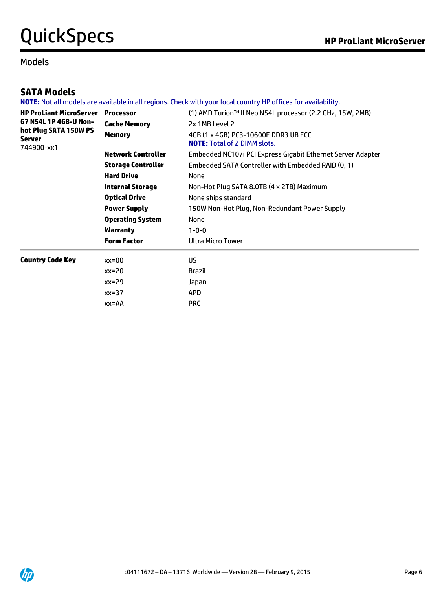#### Models

## **SATA Models**

**NOTE:** Not all models are available in all regions. Check with your local country HP offices for availability.

| <b>HP ProLiant MicroServer</b>                | <b>Processor</b>          | (1) AMD Turion™ II Neo N54L processor (2.2 GHz, 15W, 2MB)                   |
|-----------------------------------------------|---------------------------|-----------------------------------------------------------------------------|
| G7 N54L 1P 4GB-U Non-                         | <b>Cache Memory</b>       | 2x 1MB Level 2                                                              |
| hot Plug SATA 150W PS<br>Server<br>744900-xx1 | <b>Memory</b>             | 4GB (1 x 4GB) PC3-10600E DDR3 UB ECC<br><b>NOTE:</b> Total of 2 DIMM slots. |
|                                               | <b>Network Controller</b> | Embedded NC107i PCI Express Gigabit Ethernet Server Adapter                 |
|                                               | <b>Storage Controller</b> | Embedded SATA Controller with Embedded RAID (0, 1)                          |
|                                               | <b>Hard Drive</b>         | <b>None</b>                                                                 |
|                                               | <b>Internal Storage</b>   | Non-Hot Plug SATA 8.0TB (4 x 2TB) Maximum                                   |
|                                               | <b>Optical Drive</b>      | None ships standard                                                         |
|                                               | <b>Power Supply</b>       | 150W Non-Hot Plug, Non-Redundant Power Supply                               |
|                                               | <b>Operating System</b>   | <b>None</b>                                                                 |
|                                               | <b>Warranty</b>           | $1 - 0 - 0$                                                                 |
|                                               | <b>Form Factor</b>        | <b>Ultra Micro Tower</b>                                                    |
| <b>Country Code Key</b>                       | $xx=00$                   | US.                                                                         |
|                                               | $xx=20$                   | <b>Brazil</b>                                                               |
|                                               | $xx=29$                   | Japan                                                                       |
|                                               | $xx=37$                   | <b>APD</b>                                                                  |
|                                               | XX=AA                     | <b>PRC</b>                                                                  |
|                                               |                           |                                                                             |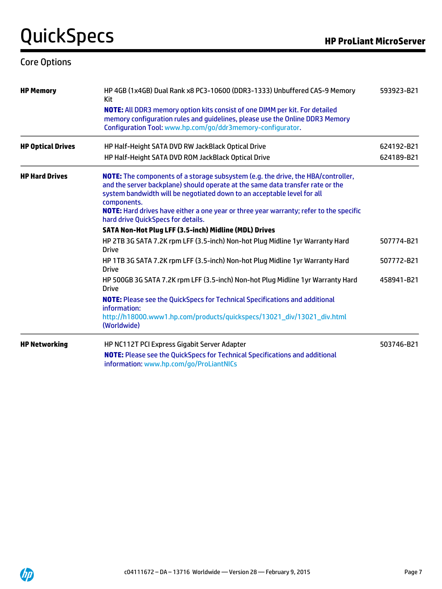### Core Options

| <b>HP Memory</b>         | HP 4GB (1x4GB) Dual Rank x8 PC3-10600 (DDR3-1333) Unbuffered CAS-9 Memory<br>Kit                                                                                                                                                                                                                                                                                                                    | 593923-B21 |
|--------------------------|-----------------------------------------------------------------------------------------------------------------------------------------------------------------------------------------------------------------------------------------------------------------------------------------------------------------------------------------------------------------------------------------------------|------------|
|                          | <b>NOTE:</b> All DDR3 memory option kits consist of one DIMM per kit. For detailed<br>memory configuration rules and guidelines, please use the Online DDR3 Memory<br>Configuration Tool: www.hp.com/go/ddr3memory-configurator.                                                                                                                                                                    |            |
| <b>HP Optical Drives</b> | HP Half-Height SATA DVD RW JackBlack Optical Drive                                                                                                                                                                                                                                                                                                                                                  | 624192-B21 |
|                          | HP Half-Height SATA DVD ROM JackBlack Optical Drive                                                                                                                                                                                                                                                                                                                                                 | 624189-B21 |
| <b>HP Hard Drives</b>    | <b>NOTE:</b> The components of a storage subsystem (e.g. the drive, the HBA/controller,<br>and the server backplane) should operate at the same data transfer rate or the<br>system bandwidth will be negotiated down to an acceptable level for all<br>components.<br>NOTE: Hard drives have either a one year or three year warranty; refer to the specific<br>hard drive QuickSpecs for details. |            |
|                          | SATA Non-Hot Plug LFF (3.5-inch) Midline (MDL) Drives                                                                                                                                                                                                                                                                                                                                               |            |
|                          | HP 2TB 3G SATA 7.2K rpm LFF (3.5-inch) Non-hot Plug Midline 1yr Warranty Hard<br><b>Drive</b>                                                                                                                                                                                                                                                                                                       | 507774-B21 |
|                          | HP 1TB 3G SATA 7.2K rpm LFF (3.5-inch) Non-hot Plug Midline 1yr Warranty Hard<br><b>Drive</b>                                                                                                                                                                                                                                                                                                       | 507772-B21 |
|                          | HP 500GB 3G SATA 7.2K rpm LFF (3.5-inch) Non-hot Plug Midline 1yr Warranty Hard<br><b>Drive</b>                                                                                                                                                                                                                                                                                                     | 458941-B21 |
|                          | <b>NOTE:</b> Please see the QuickSpecs for Technical Specifications and additional<br>information:                                                                                                                                                                                                                                                                                                  |            |
|                          | http://h18000.www1.hp.com/products/quickspecs/13021_div/13021_div.html<br>(Worldwide)                                                                                                                                                                                                                                                                                                               |            |
| <b>HP Networking</b>     | HP NC112T PCI Express Gigabit Server Adapter                                                                                                                                                                                                                                                                                                                                                        | 503746-B21 |
|                          | <b>NOTE:</b> Please see the QuickSpecs for Technical Specifications and additional<br>information: www.hp.com/go/ProLiantNICs                                                                                                                                                                                                                                                                       |            |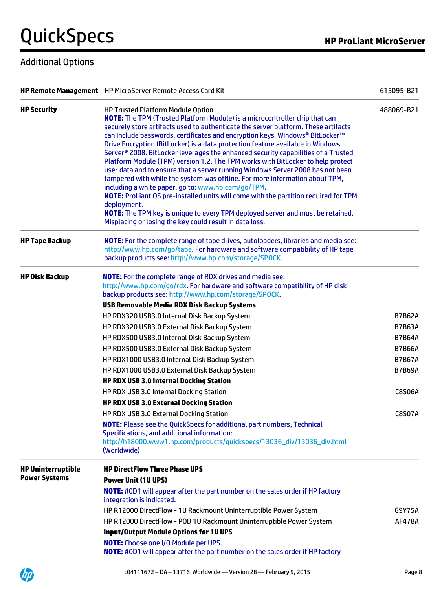# Additional Options

|                                                   | HP Remote Management HP MicroServer Remote Access Card Kit                                                                                                                                                                                                                                                                                                                                                                                                                                                                                                                                                                                                                                                                                                                                                                                                                                                                                                                                                                                                 | 615095-B21                                                                                                                           |
|---------------------------------------------------|------------------------------------------------------------------------------------------------------------------------------------------------------------------------------------------------------------------------------------------------------------------------------------------------------------------------------------------------------------------------------------------------------------------------------------------------------------------------------------------------------------------------------------------------------------------------------------------------------------------------------------------------------------------------------------------------------------------------------------------------------------------------------------------------------------------------------------------------------------------------------------------------------------------------------------------------------------------------------------------------------------------------------------------------------------|--------------------------------------------------------------------------------------------------------------------------------------|
| <b>HP Security</b>                                | <b>HP Trusted Platform Module Option</b><br><b>NOTE:</b> The TPM (Trusted Platform Module) is a microcontroller chip that can<br>securely store artifacts used to authenticate the server platform. These artifacts<br>can include passwords, certificates and encryption keys. Windows® BitLocker™<br>Drive Encryption (BitLocker) is a data protection feature available in Windows<br>Server <sup>®</sup> 2008. BitLocker leverages the enhanced security capabilities of a Trusted<br>Platform Module (TPM) version 1.2. The TPM works with BitLocker to help protect<br>user data and to ensure that a server running Windows Server 2008 has not been<br>tampered with while the system was offline. For more information about TPM,<br>including a white paper, go to: www.hp.com/go/TPM.<br>NOTE: ProLiant OS pre-installed units will come with the partition required for TPM<br>deployment.<br><b>NOTE:</b> The TPM key is unique to every TPM deployed server and must be retained.<br>Misplacing or losing the key could result in data loss. | 488069-B21                                                                                                                           |
| <b>HP Tape Backup</b>                             | <b>NOTE:</b> For the complete range of tape drives, autoloaders, libraries and media see:<br>http://www.hp.com/go/tape. For hardware and software compatibility of HP tape<br>backup products see: http://www.hp.com/storage/SPOCK.                                                                                                                                                                                                                                                                                                                                                                                                                                                                                                                                                                                                                                                                                                                                                                                                                        |                                                                                                                                      |
| <b>HP Disk Backup</b>                             | <b>NOTE:</b> For the complete range of RDX drives and media see:<br>http://www.hp.com/go/rdx. For hardware and software compatibility of HP disk<br>backup products see: http://www.hp.com/storage/SPOCK.<br><b>USB Removable Media RDX Disk Backup Systems</b><br>HP RDX320 USB3.0 Internal Disk Backup System<br>HP RDX320 USB3.0 External Disk Backup System<br>HP RDX500 USB3.0 Internal Disk Backup System<br>HP RDX500 USB3.0 External Disk Backup System<br>HP RDX1000 USB3.0 Internal Disk Backup System<br>HP RDX1000 USB3.0 External Disk Backup System<br><b>HP RDX USB 3.0 Internal Docking Station</b><br>HP RDX USB 3.0 Internal Docking Station<br><b>HP RDX USB 3.0 External Docking Station</b><br>HP RDX USB 3.0 External Docking Station<br><b>NOTE:</b> Please see the QuickSpecs for additional part numbers, Technical<br>Specifications, and additional information:                                                                                                                                                                | <b>B7B62A</b><br><b>B7B63A</b><br><b>B7B64A</b><br><b>B7B66A</b><br><b>B7B67A</b><br><b>B7B69A</b><br><b>C8S06A</b><br><b>C8S07A</b> |
| <b>HP Uninterruptible</b><br><b>Power Systems</b> | http://h18000.www1.hp.com/products/quickspecs/13036_div/13036_div.html<br>(Worldwide)<br><b>HP DirectFlow Three Phase UPS</b><br><b>Power Unit (1U UPS)</b><br>NOTE: #0D1 will appear after the part number on the sales order if HP factory<br>integration is indicated.<br>HP R12000 DirectFlow - 1U Rackmount Uninterruptible Power System<br>HP R12000 DirectFlow - POD 1U Rackmount Uninterruptible Power System<br><b>Input/Output Module Options for 1U UPS</b>                                                                                                                                                                                                                                                                                                                                                                                                                                                                                                                                                                                     | G9Y75A<br><b>AF478A</b>                                                                                                              |
|                                                   | <b>NOTE:</b> Choose one I/O Module per UPS.<br>NOTE: #0D1 will appear after the part number on the sales order if HP factory                                                                                                                                                                                                                                                                                                                                                                                                                                                                                                                                                                                                                                                                                                                                                                                                                                                                                                                               |                                                                                                                                      |

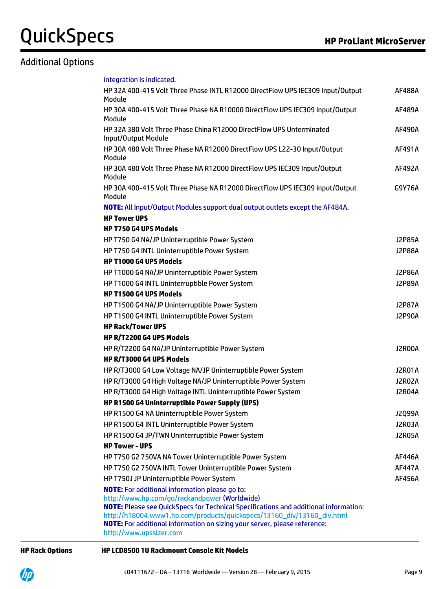## Additional Options

| integration is indicated.                                                                                                                    |               |
|----------------------------------------------------------------------------------------------------------------------------------------------|---------------|
| HP 32A 400-415 Volt Three Phase INTL R12000 DirectFlow UPS IEC309 Input/Output<br>Module                                                     | <b>AF488A</b> |
| HP 30A 400-415 Volt Three Phase NA R10000 DirectFlow UPS IEC309 Input/Output<br>Module                                                       | AF489A        |
| HP 32A 380 Volt Three Phase China R12000 DirectFlow UPS Unterminated<br>Input/Output Module                                                  | <b>AF490A</b> |
| HP 30A 480 Volt Three Phase NA R12000 DirectFlow UPS L22-30 Input/Output<br>Module                                                           | AF491A        |
| HP 30A 480 Volt Three Phase NA R12000 DirectFlow UPS IEC309 Input/Output<br>Module                                                           | <b>AF492A</b> |
| HP 30A 400-415 Volt Three Phase NA R12000 DirectFlow UPS IEC309 Input/Output<br>Module                                                       | G9Y76A        |
| NOTE: All Input/Output Modules support dual output outlets except the AF484A.                                                                |               |
| <b>HP Tower UPS</b>                                                                                                                          |               |
| <b>HP T750 G4 UPS Models</b>                                                                                                                 |               |
| HP T750 G4 NA/JP Uninterruptible Power System                                                                                                | <b>J2P85A</b> |
| HP T750 G4 INTL Uninterruptible Power System                                                                                                 | <b>J2P88A</b> |
| <b>HP T1000 G4 UPS Models</b>                                                                                                                |               |
| HP T1000 G4 NA/JP Uninterruptible Power System                                                                                               | <b>J2P86A</b> |
| HP T1000 G4 INTL Uninterruptible Power System                                                                                                | <b>J2P89A</b> |
| <b>HP T1500 G4 UPS Models</b>                                                                                                                |               |
| HP T1500 G4 NA/JP Uninterruptible Power System                                                                                               | <b>J2P87A</b> |
| HP T1500 G4 INTL Uninterruptible Power System                                                                                                | <b>J2P90A</b> |
| <b>HP Rack/Tower UPS</b>                                                                                                                     |               |
| HP R/T2200 G4 UPS Models                                                                                                                     |               |
| HP R/T2200 G4 NA/JP Uninterruptible Power System                                                                                             | J2R00A        |
| HP R/T3000 G4 UPS Models                                                                                                                     |               |
| HP R/T3000 G4 Low Voltage NA/JP Uninterruptible Power System                                                                                 | <b>J2R01A</b> |
| HP R/T3000 G4 High Voltage NA/JP Uninterruptible Power System                                                                                | J2R02A        |
| HP R/T3000 G4 High Voltage INTL Uninterruptible Power System                                                                                 | J2R04A        |
| HP R1500 G4 Uninterruptible Power Supply (UPS)                                                                                               |               |
| HP R1500 G4 NA Uninterruptible Power System                                                                                                  | J2Q99A        |
| HP R1500 G4 INTL Uninterruptible Power System                                                                                                | J2R03A        |
| HP R1500 G4 JP/TWN Uninterruptible Power System                                                                                              | <b>J2R05A</b> |
| <b>HP Tower - UPS</b>                                                                                                                        |               |
| HP T750 G2 750VA NA Tower Uninterruptible Power System                                                                                       | AF446A        |
| HP T750 G2 750VA INTL Tower Uninterruptible Power System                                                                                     | <b>AF447A</b> |
| HP T750J JP Uninterruptible Power System                                                                                                     | AF456A        |
| <b>NOTE:</b> For additional information please go to:                                                                                        |               |
| http://www.hp.com/go/rackandpower (Worldwide)<br><b>NOTE:</b> Please see QuickSpecs for Technical Specifications and additional information: |               |
| http://h18004.www1.hp.com/products/quickspecs/13160_div/13160_div.html                                                                       |               |
| <b>NOTE:</b> For additional information on sizing your server, please reference:                                                             |               |
| http://www.upssizer.com                                                                                                                      |               |
|                                                                                                                                              |               |

#### **HP Rack Options HP LCD8500 1U Rackmount Console Kit Models**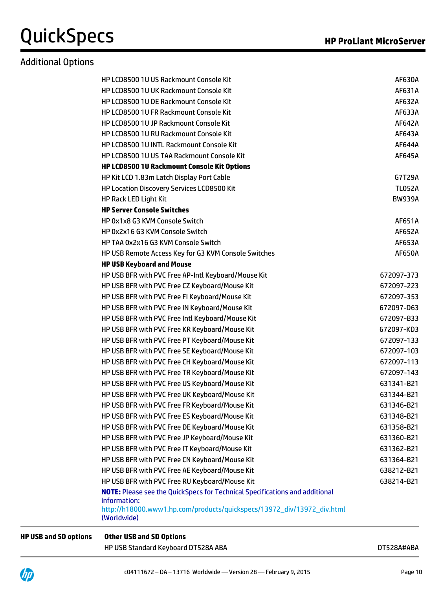## Additional Options

| <b>HP LCD8500 1U US Rackmount Console Kit</b>                                                      | <b>AF630A</b> |
|----------------------------------------------------------------------------------------------------|---------------|
| HP LCD8500 1U UK Rackmount Console Kit                                                             | AF631A        |
| HP LCD8500 1U DE Rackmount Console Kit                                                             | AF632A        |
| HP LCD8500 1U FR Rackmount Console Kit                                                             | AF633A        |
| HP LCD8500 1U JP Rackmount Console Kit                                                             | AF642A        |
| HP LCD8500 1U RU Rackmount Console Kit                                                             | AF643A        |
| HP LCD8500 1U INTL Rackmount Console Kit                                                           | <b>AF644A</b> |
| HP LCD8500 1U US TAA Rackmount Console Kit                                                         | <b>AF645A</b> |
| HP LCD8500 1U Rackmount Console Kit Options                                                        |               |
| HP Kit LCD 1.83m Latch Display Port Cable                                                          | G7T29A        |
| HP Location Discovery Services LCD8500 Kit                                                         | <b>TL052A</b> |
| HP Rack LED Light Kit                                                                              | <b>BW939A</b> |
| <b>HP Server Console Switches</b>                                                                  |               |
| HP 0x1x8 G3 KVM Console Switch                                                                     | <b>AF651A</b> |
| HP 0x2x16 G3 KVM Console Switch                                                                    | <b>AF652A</b> |
| HP TAA 0x2x16 G3 KVM Console Switch                                                                | AF653A        |
| HP USB Remote Access Key for G3 KVM Console Switches                                               | <b>AF650A</b> |
| <b>HP USB Keyboard and Mouse</b>                                                                   |               |
| HP USB BFR with PVC Free AP-Intl Keyboard/Mouse Kit                                                | 672097-373    |
| HP USB BFR with PVC Free CZ Keyboard/Mouse Kit                                                     | 672097-223    |
| HP USB BFR with PVC Free FI Keyboard/Mouse Kit                                                     | 672097-353    |
| HP USB BFR with PVC Free IN Keyboard/Mouse Kit                                                     | 672097-D63    |
| HP USB BFR with PVC Free Intl Keyboard/Mouse Kit                                                   | 672097-B33    |
| HP USB BFR with PVC Free KR Keyboard/Mouse Kit                                                     | 672097-KD3    |
| HP USB BFR with PVC Free PT Keyboard/Mouse Kit                                                     | 672097-133    |
| HP USB BFR with PVC Free SE Keyboard/Mouse Kit                                                     | 672097-103    |
| HP USB BFR with PVC Free CH Keyboard/Mouse Kit                                                     | 672097-113    |
| HP USB BFR with PVC Free TR Keyboard/Mouse Kit                                                     | 672097-143    |
| HP USB BFR with PVC Free US Keyboard/Mouse Kit                                                     | 631341-B21    |
| HP USB BFR with PVC Free UK Keyboard/Mouse Kit                                                     | 631344-B21    |
| HP USB BFR with PVC Free FR Keyboard/Mouse Kit                                                     | 631346-B21    |
| HP USB BFR with PVC Free ES Keyboard/Mouse Kit                                                     | 631348-B21    |
| HP USB BFR with PVC Free DE Keyboard/Mouse Kit                                                     | 631358-B21    |
| HP USB BFR with PVC Free JP Keyboard/Mouse Kit                                                     | 631360-B21    |
| HP USB BFR with PVC Free IT Keyboard/Mouse Kit                                                     | 631362-B21    |
| HP USB BFR with PVC Free CN Keyboard/Mouse Kit                                                     | 631364-B21    |
| HP USB BFR with PVC Free AE Keyboard/Mouse Kit                                                     | 638212-B21    |
| HP USB BFR with PVC Free RU Keyboard/Mouse Kit                                                     | 638214-B21    |
| <b>NOTE:</b> Please see the QuickSpecs for Technical Specifications and additional<br>information: |               |
| http://h18000.www1.hp.com/products/quickspecs/13972_div/13972_div.html<br>(Worldwide)              |               |
|                                                                                                    |               |

#### **HP USB and SD options Other USB and SD Options**

HP USB Standard Keyboard DT528A ABA discussed by the USB Standard Keyboard DT528A#ABA

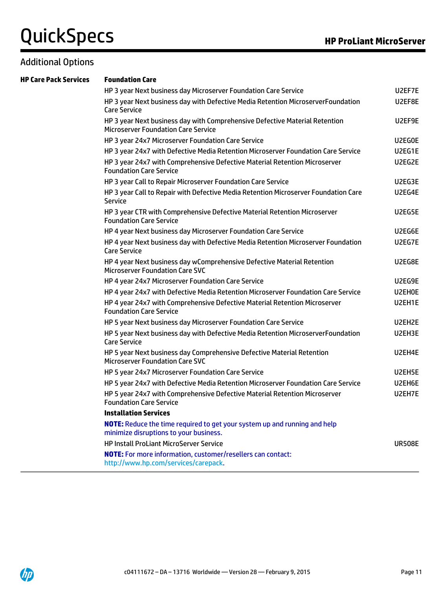### Additional Options

### **HP Care Pack Services Foundation Care**

| HP 3 year Next business day Microserver Foundation Care Service                                                           | U2EF7E        |
|---------------------------------------------------------------------------------------------------------------------------|---------------|
| HP 3 year Next business day with Defective Media Retention MicroserverFoundation<br><b>Care Service</b>                   | U2EF8E        |
| HP 3 year Next business day with Comprehensive Defective Material Retention<br><b>Microserver Foundation Care Service</b> | U2EF9E        |
| HP 3 year 24x7 Microserver Foundation Care Service                                                                        | U2EG0E        |
| HP 3 year 24x7 with Defective Media Retention Microserver Foundation Care Service                                         | U2EG1E        |
| HP 3 year 24x7 with Comprehensive Defective Material Retention Microserver<br><b>Foundation Care Service</b>              | U2EG2E        |
| HP 3 year Call to Repair Microserver Foundation Care Service                                                              | U2EG3E        |
| HP 3 year Call to Repair with Defective Media Retention Microserver Foundation Care<br><b>Service</b>                     | U2EG4E        |
| HP 3 year CTR with Comprehensive Defective Material Retention Microserver<br><b>Foundation Care Service</b>               | U2EG5E        |
| HP 4 year Next business day Microserver Foundation Care Service                                                           | U2EG6E        |
| HP 4 year Next business day with Defective Media Retention Microserver Foundation<br><b>Care Service</b>                  | U2EG7E        |
| HP 4 year Next business day wComprehensive Defective Material Retention<br><b>Microserver Foundation Care SVC</b>         | U2EG8E        |
| HP 4 year 24x7 Microserver Foundation Care Service                                                                        | U2EG9E        |
| HP 4 year 24x7 with Defective Media Retention Microserver Foundation Care Service                                         | U2EH0E        |
| HP 4 year 24x7 with Comprehensive Defective Material Retention Microserver<br><b>Foundation Care Service</b>              | U2EH1E        |
| HP 5 year Next business day Microserver Foundation Care Service                                                           | U2EH2E        |
| HP 5 year Next business day with Defective Media Retention MicroserverFoundation<br><b>Care Service</b>                   | U2EH3E        |
| HP 5 year Next business day Comprehensive Defective Material Retention<br><b>Microserver Foundation Care SVC</b>          | U2EH4E        |
| HP 5 year 24x7 Microserver Foundation Care Service                                                                        | U2EH5E        |
| HP 5 year 24x7 with Defective Media Retention Microserver Foundation Care Service                                         | U2EH6E        |
| HP 5 year 24x7 with Comprehensive Defective Material Retention Microserver<br><b>Foundation Care Service</b>              | U2EH7E        |
| <b>Installation Services</b>                                                                                              |               |
| NOTE: Reduce the time required to get your system up and running and help<br>minimize disruptions to your business.       |               |
| <b>HP Install ProLiant MicroServer Service</b>                                                                            | <b>UR508E</b> |
| <b>NOTE:</b> For more information, customer/resellers can contact:<br>http://www.hp.com/services/carepack.                |               |
|                                                                                                                           |               |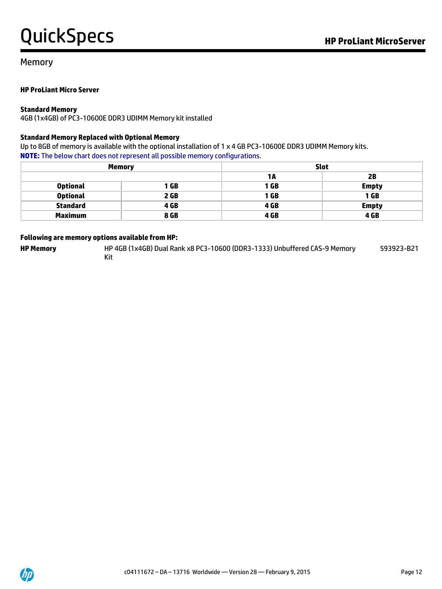593923-B21

#### Memory

#### **HP ProLiant Micro Server**

#### **Standard Memory**

4GB (1x4GB) of PC3-10600E DDR3 UDIMM Memory kit installed

#### **Standard Memory Replaced with Optional Memory**

Up to 8GB of memory is available with the optional installation of 1 x 4 GB PC3-10600E DDR3 UDIMM Memory kits. **NOTE:** The below chart does not represent all possible memory configurations.

|                 | <b>Memory</b> |      | <b>Slot</b>  |
|-----------------|---------------|------|--------------|
|                 |               | 1 A  | 2B           |
| <b>Optional</b> | 1 GB          | 1 GB | <b>Empty</b> |
| <b>Optional</b> | 2 GB          | 1 GB | 1 GB         |
| <b>Standard</b> | 4 GB          | 4 GB | <b>Empty</b> |
| <b>Maximum</b>  | 8 GB          | 4 GB | 4 GB         |

#### **Following are memory options available from HP:**

**HP Memory** HP 4GB (1x4GB) Dual Rank x8 PC3-10600 (DDR3-1333) Unbuffered CAS-9 Memory

Kit

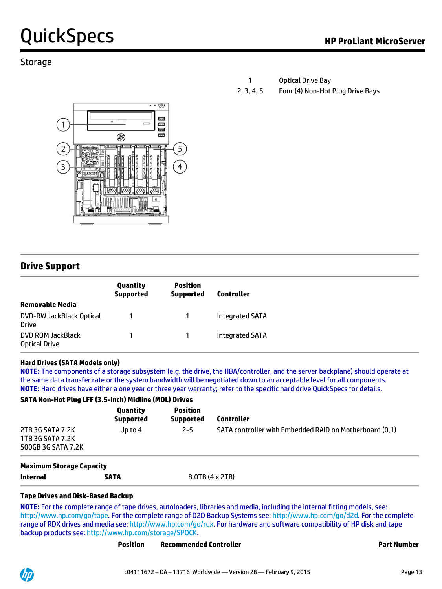### **Storage**

|            | <b>Optical Drive Bay</b>         |
|------------|----------------------------------|
| 2, 3, 4, 5 | Four (4) Non-Hot Plug Drive Bays |



### **Drive Support**

|                                                 | Quantity<br><b>Supported</b> | <b>Position</b><br><b>Supported</b> | <b>Controller</b>      |
|-------------------------------------------------|------------------------------|-------------------------------------|------------------------|
| <b>Removable Media</b>                          |                              |                                     |                        |
| <b>DVD-RW JackBlack Optical</b><br><b>Drive</b> |                              |                                     | <b>Integrated SATA</b> |
| DVD ROM JackBlack<br><b>Optical Drive</b>       |                              |                                     | <b>Integrated SATA</b> |

#### **Hard Drives (SATA Models only)**

**NOTE:** The components of a storage subsystem (e.g. the drive, the HBA/controller, and the server backplane) should operate at the same data transfer rate or the system bandwidth will be negotiated down to an acceptable level for all components. **NOTE:** Hard drives have either a one year or three year warranty; refer to the specific hard drive QuickSpecs for details.

#### **SATA Non-Hot Plug LFF (3.5-inch) Midline (MDL) Drives**

|           |         | <b>Controller</b>                                       |
|-----------|---------|---------------------------------------------------------|
| Up to $4$ | $2 - 5$ | SATA controller with Embedded RAID on Motherboard (0,1) |
|           |         |                                                         |
|           |         | 8.0TB (4 x 2TB)<br><b>SATA</b>                          |

#### **Tape Drives and Disk-Based Backup**

**NOTE:** For the complete range of tape drives, autoloaders, libraries and media, including the internal fitting models, see: [http://www.hp.com/go/tape.](http://www.hp.com/go/tape) For the complete range of D2D Backup Systems see[: http://www.hp.com/go/d2d.](http://www.hp.com/go/d2d) For the complete range of RDX drives and media see[: http://www.hp.com/go/rdx.](http://www.hp.com/go/rdx) For hardware and software compatibility of HP disk and tape backup products see[: http://www.hp.com/storage/SPOCK.](http://www.hp.com/storage/SPOCK)

| <b>Position</b> | <b>Recommended Controller</b> |  |
|-----------------|-------------------------------|--|
|                 |                               |  |

**Part Number** 

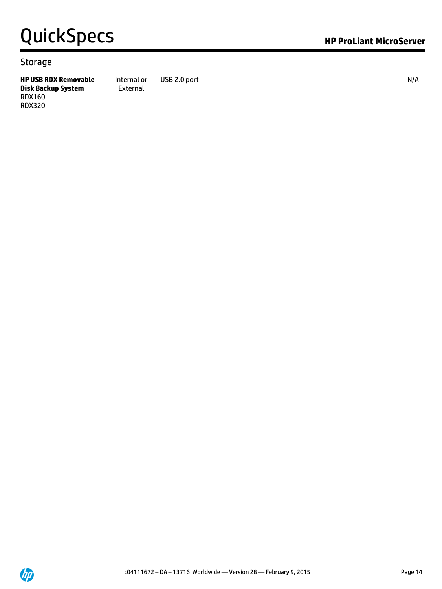#### **Storage**

**HP USB RDX Removable Disk Backup System** RDX160 RDX320 Internal or External

USB 2.0 port N/A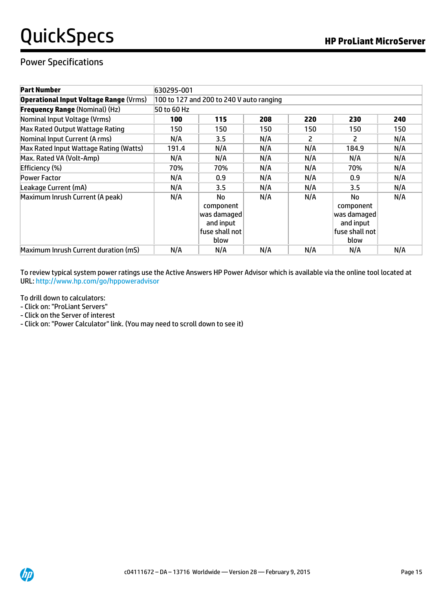## Power Specifications

| <b>Part Number</b>                            | 630295-001                               |                                                                              |     |     |                                                                                          |     |
|-----------------------------------------------|------------------------------------------|------------------------------------------------------------------------------|-----|-----|------------------------------------------------------------------------------------------|-----|
| <b>Operational Input Voltage Range (Vrms)</b> | 100 to 127 and 200 to 240 V auto ranging |                                                                              |     |     |                                                                                          |     |
| <b>Frequency Range (Nominal) (Hz)</b>         | 50 to 60 Hz                              |                                                                              |     |     |                                                                                          |     |
| Nominal Input Voltage (Vrms)                  | 100                                      | 115                                                                          | 208 | 220 | 230                                                                                      | 240 |
| Max Rated Output Wattage Rating               | 150                                      | 150                                                                          | 150 | 150 | 150                                                                                      | 150 |
| Nominal Input Current (A rms)                 | N/A                                      | 3.5                                                                          | N/A | 2   | 2                                                                                        | N/A |
| Max Rated Input Wattage Rating (Watts)        | 191.4                                    | N/A                                                                          | N/A | N/A | 184.9                                                                                    | N/A |
| Max. Rated VA (Volt-Amp)                      | N/A                                      | N/A                                                                          | N/A | N/A | N/A                                                                                      | N/A |
| Efficiency (%)                                | 70%                                      | 70%                                                                          | N/A | N/A | 70%                                                                                      | N/A |
| <b>Power Factor</b>                           | N/A                                      | 0.9                                                                          | N/A | N/A | 0.9                                                                                      | N/A |
| Leakage Current (mA)                          | N/A                                      | 3.5                                                                          | N/A | N/A | 3.5                                                                                      | N/A |
| Maximum Inrush Current (A peak)               | N/A                                      | <b>No</b><br>component<br>was damaged<br>and input<br>fuse shall not<br>blow | N/A | N/A | <b>No</b><br>component<br>was damaqed $\parallel$<br>and input<br>fuse shall not<br>blow | N/A |
| Maximum Inrush Current duration (mS)          | N/A                                      | N/A                                                                          | N/A | N/A | N/A                                                                                      | N/A |

To review typical system power ratings use the Active Answers HP Power Advisor which is available via the online tool located at URL[: http://www.hp.com/go/hppoweradvisor](http://www.hp.com/go/hppoweradvisor)

To drill down to calculators:

- Click on: "ProLiant Servers"
- Click on the Server of interest
- Click on: "Power Calculator" link. (You may need to scroll down to see it)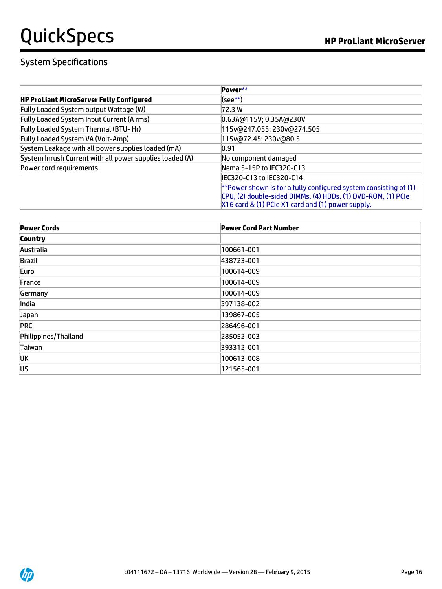# System Specifications

|                                                          | Power**                                                             |
|----------------------------------------------------------|---------------------------------------------------------------------|
| <b>HP ProLiant MicroServer Fully Configured</b>          | (see**)                                                             |
| Fully Loaded System output Wattage (W)                   | 72.3 W                                                              |
| Fully Loaded System Input Current (A rms)                | 0.63A@115V; 0.35A@230V                                              |
| Fully Loaded System Thermal (BTU-Hr)                     | 115v@247.055; 230v@274.505                                          |
| <b>Fully Loaded System VA (Volt-Amp)</b>                 | 115v@72.45; 230v@80.5                                               |
| System Leakage with all power supplies loaded (mA)       | 0.91                                                                |
| System Inrush Current with all power supplies loaded (A) | No component damaged                                                |
| Power cord requirements                                  | Nema 5-15P to IEC320-C13                                            |
|                                                          | IEC320-C13 to IEC320-C14                                            |
|                                                          | ** Power shown is for a fully configured system consisting of $(1)$ |
|                                                          | CPU, (2) double-sided DIMMs, (4) HDDs, (1) DVD-ROM, (1) PCIe        |
|                                                          | X16 card & (1) PCIe X1 card and (1) power supply.                   |

| <b>Power Cords</b>   | <b>Power Cord Part Number</b> |
|----------------------|-------------------------------|
| <b>Country</b>       |                               |
| Australia            | 100661-001                    |
| Brazil               | 438723-001                    |
| Euro                 | 100614-009                    |
| France               | 100614-009                    |
| Germany              | 100614-009                    |
| India                | 397138-002                    |
| Japan                | 139867-005                    |
| <b>PRC</b>           | 286496-001                    |
| Philippines/Thailand | 285052-003                    |
| Taiwan               | 393312-001                    |
| UK                   | 100613-008                    |
| US                   | 121565-001                    |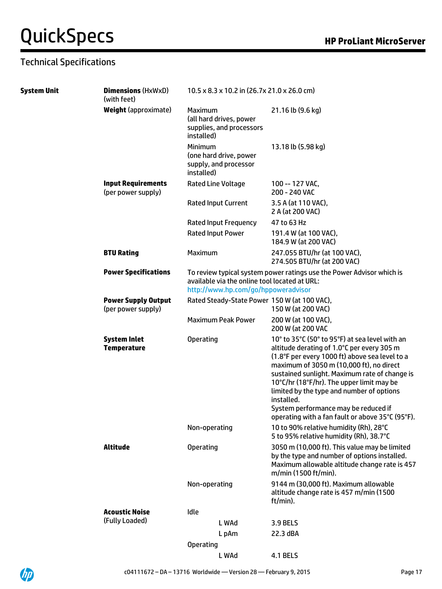# Technical Specifications

| <b>System Unit</b> | <b>Dimensions (HxWxD)</b><br>(with feet)         | 10.5 x 8.3 x 10.2 in (26.7x 21.0 x 26.0 cm)                                                                                                                   |                                                                                                                                                                                                                                                                                                                                                                                                                                                 |  |  |  |
|--------------------|--------------------------------------------------|---------------------------------------------------------------------------------------------------------------------------------------------------------------|-------------------------------------------------------------------------------------------------------------------------------------------------------------------------------------------------------------------------------------------------------------------------------------------------------------------------------------------------------------------------------------------------------------------------------------------------|--|--|--|
|                    | <b>Weight (approximate)</b>                      | Maximum<br>(all hard drives, power<br>supplies, and processors<br>installed)                                                                                  | 21.16 lb (9.6 kg)                                                                                                                                                                                                                                                                                                                                                                                                                               |  |  |  |
|                    |                                                  | Minimum<br>(one hard drive, power<br>supply, and processor<br>installed)                                                                                      | 13.18 lb (5.98 kg)                                                                                                                                                                                                                                                                                                                                                                                                                              |  |  |  |
|                    | <b>Input Requirements</b><br>(per power supply)  | Rated Line Voltage                                                                                                                                            | 100 -- 127 VAC,<br>200 - 240 VAC                                                                                                                                                                                                                                                                                                                                                                                                                |  |  |  |
|                    |                                                  | Rated Input Current                                                                                                                                           | 3.5 A (at 110 VAC),<br>2 A (at 200 VAC)                                                                                                                                                                                                                                                                                                                                                                                                         |  |  |  |
|                    |                                                  | Rated Input Frequency                                                                                                                                         | 47 to 63 Hz                                                                                                                                                                                                                                                                                                                                                                                                                                     |  |  |  |
|                    |                                                  | Rated Input Power                                                                                                                                             | 191.4 W (at 100 VAC),<br>184.9 W (at 200 VAC)                                                                                                                                                                                                                                                                                                                                                                                                   |  |  |  |
|                    | <b>BTU Rating</b>                                | Maximum                                                                                                                                                       | 247.055 BTU/hr (at 100 VAC),<br>274.505 BTU/hr (at 200 VAC)                                                                                                                                                                                                                                                                                                                                                                                     |  |  |  |
|                    | <b>Power Specifications</b>                      | To review typical system power ratings use the Power Advisor which is<br>available via the online tool located at URL:<br>http://www.hp.com/go/hppoweradvisor |                                                                                                                                                                                                                                                                                                                                                                                                                                                 |  |  |  |
|                    | <b>Power Supply Output</b><br>(per power supply) | Rated Steady-State Power 150 W (at 100 VAC),                                                                                                                  | 150 W (at 200 VAC)                                                                                                                                                                                                                                                                                                                                                                                                                              |  |  |  |
|                    |                                                  | <b>Maximum Peak Power</b>                                                                                                                                     | 200 W (at 100 VAC),<br>200 W (at 200 VAC                                                                                                                                                                                                                                                                                                                                                                                                        |  |  |  |
|                    | <b>System Inlet</b><br><b>Temperature</b>        | Operating                                                                                                                                                     | 10° to 35°C (50° to 95°F) at sea level with an<br>altitude derating of 1.0°C per every 305 m<br>(1.8°F per every 1000 ft) above sea level to a<br>maximum of 3050 m (10,000 ft), no direct<br>sustained sunlight. Maximum rate of change is<br>10°C/hr (18°F/hr). The upper limit may be<br>limited by the type and number of options<br>installed.<br>System performance may be reduced if<br>operating with a fan fault or above 35°C (95°F). |  |  |  |
|                    |                                                  | Non-operating                                                                                                                                                 | 10 to 90% relative humidity (Rh), 28°C<br>5 to 95% relative humidity (Rh), 38.7°C                                                                                                                                                                                                                                                                                                                                                               |  |  |  |
|                    | <b>Altitude</b>                                  | <b>Operating</b>                                                                                                                                              | 3050 m (10,000 ft). This value may be limited<br>by the type and number of options installed.<br>Maximum allowable altitude change rate is 457<br>m/min (1500 ft/min).                                                                                                                                                                                                                                                                          |  |  |  |
|                    |                                                  | Non-operating                                                                                                                                                 | 9144 m (30,000 ft). Maximum allowable<br>altitude change rate is 457 m/min (1500<br>ft/min).                                                                                                                                                                                                                                                                                                                                                    |  |  |  |
|                    | <b>Acoustic Noise</b>                            | Idle                                                                                                                                                          |                                                                                                                                                                                                                                                                                                                                                                                                                                                 |  |  |  |
|                    | (Fully Loaded)                                   | L WAd                                                                                                                                                         | <b>3.9 BELS</b>                                                                                                                                                                                                                                                                                                                                                                                                                                 |  |  |  |
|                    |                                                  | L pAm                                                                                                                                                         | 22.3 dBA                                                                                                                                                                                                                                                                                                                                                                                                                                        |  |  |  |
|                    |                                                  | Operating                                                                                                                                                     |                                                                                                                                                                                                                                                                                                                                                                                                                                                 |  |  |  |
|                    |                                                  | L WAd                                                                                                                                                         | <b>4.1 BELS</b>                                                                                                                                                                                                                                                                                                                                                                                                                                 |  |  |  |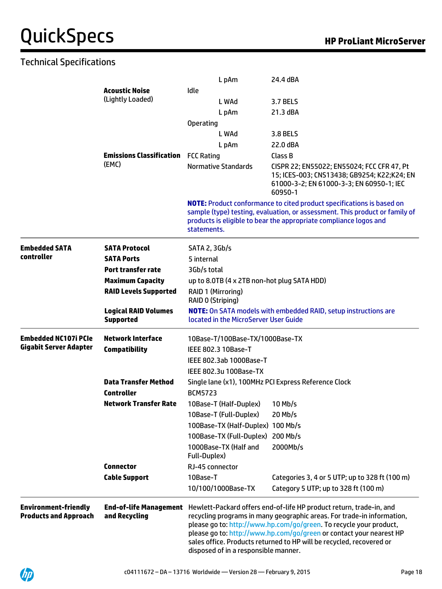# Technical Specifications

|                                                             |                                                 | L pAm                                       | 24.4 dBA                                                                                                                                                                                                                                                                                                                                                           |  |  |  |
|-------------------------------------------------------------|-------------------------------------------------|---------------------------------------------|--------------------------------------------------------------------------------------------------------------------------------------------------------------------------------------------------------------------------------------------------------------------------------------------------------------------------------------------------------------------|--|--|--|
|                                                             | <b>Acoustic Noise</b>                           | Idle                                        |                                                                                                                                                                                                                                                                                                                                                                    |  |  |  |
|                                                             | (Lightly Loaded)                                | L WAd                                       | <b>3.7 BELS</b>                                                                                                                                                                                                                                                                                                                                                    |  |  |  |
|                                                             |                                                 | L pAm                                       | 21.3 dBA                                                                                                                                                                                                                                                                                                                                                           |  |  |  |
|                                                             |                                                 | <b>Operating</b>                            |                                                                                                                                                                                                                                                                                                                                                                    |  |  |  |
|                                                             |                                                 | L WAd                                       | 3.8 BELS                                                                                                                                                                                                                                                                                                                                                           |  |  |  |
|                                                             |                                                 | L pAm                                       | 22.0 dBA                                                                                                                                                                                                                                                                                                                                                           |  |  |  |
|                                                             | <b>Emissions Classification</b>                 | <b>FCC Rating</b>                           | Class B                                                                                                                                                                                                                                                                                                                                                            |  |  |  |
|                                                             | (EMC)                                           | <b>Normative Standards</b>                  | CISPR 22; EN55022; EN55024; FCC CFR 47, Pt<br>15; ICES-003; CNS13438; GB9254; K22;K24; EN<br>61000-3-2; EN 61000-3-3; EN 60950-1; IEC<br>60950-1                                                                                                                                                                                                                   |  |  |  |
|                                                             |                                                 | statements.                                 | <b>NOTE:</b> Product conformance to cited product specifications is based on<br>sample (type) testing, evaluation, or assessment. This product or family of<br>products is eligible to bear the appropriate compliance logos and                                                                                                                                   |  |  |  |
| <b>Embedded SATA</b>                                        | <b>SATA Protocol</b>                            | <b>SATA 2, 3Gb/s</b>                        |                                                                                                                                                                                                                                                                                                                                                                    |  |  |  |
| controller                                                  | <b>SATA Ports</b>                               | 5 internal                                  |                                                                                                                                                                                                                                                                                                                                                                    |  |  |  |
|                                                             | Port transfer rate                              | 3Gb/s total                                 |                                                                                                                                                                                                                                                                                                                                                                    |  |  |  |
|                                                             | <b>Maximum Capacity</b>                         | up to 8.0TB (4 x 2TB non-hot plug SATA HDD) |                                                                                                                                                                                                                                                                                                                                                                    |  |  |  |
|                                                             | <b>RAID Levels Supported</b>                    | RAID 1 (Mirroring)<br>RAID 0 (Striping)     |                                                                                                                                                                                                                                                                                                                                                                    |  |  |  |
|                                                             | <b>Logical RAID Volumes</b><br><b>Supported</b> | located in the MicroServer User Guide       | <b>NOTE:</b> On SATA models with embedded RAID, setup instructions are                                                                                                                                                                                                                                                                                             |  |  |  |
| <b>Embedded NC107i PCIe</b>                                 | <b>Network Interface</b>                        | 10Base-T/100Base-TX/1000Base-TX             |                                                                                                                                                                                                                                                                                                                                                                    |  |  |  |
| <b>Gigabit Server Adapter</b>                               | <b>Compatibility</b>                            | IEEE 802.3 10Base-T                         |                                                                                                                                                                                                                                                                                                                                                                    |  |  |  |
|                                                             |                                                 | IEEE 802.3ab 1000Base-T                     |                                                                                                                                                                                                                                                                                                                                                                    |  |  |  |
|                                                             |                                                 | IEEE 802.3u 100Base-TX                      |                                                                                                                                                                                                                                                                                                                                                                    |  |  |  |
|                                                             | <b>Data Transfer Method</b>                     |                                             | Single lane (x1), 100MHz PCI Express Reference Clock                                                                                                                                                                                                                                                                                                               |  |  |  |
|                                                             | <b>Controller</b>                               | <b>BCM5723</b>                              |                                                                                                                                                                                                                                                                                                                                                                    |  |  |  |
|                                                             | <b>Network Transfer Rate</b>                    | 10Base-T (Half-Duplex)                      | $10$ Mb/s                                                                                                                                                                                                                                                                                                                                                          |  |  |  |
|                                                             |                                                 | 10Base-T (Full-Duplex)                      | $20$ Mb/s                                                                                                                                                                                                                                                                                                                                                          |  |  |  |
|                                                             |                                                 | 100Base-TX (Half-Duplex) 100 Mb/s           |                                                                                                                                                                                                                                                                                                                                                                    |  |  |  |
|                                                             |                                                 | 100Base-TX (Full-Duplex)                    | 200 Mb/s                                                                                                                                                                                                                                                                                                                                                           |  |  |  |
|                                                             |                                                 | 1000Base-TX (Half and<br>Full-Duplex)       | 2000Mb/s                                                                                                                                                                                                                                                                                                                                                           |  |  |  |
|                                                             | <b>Connector</b>                                | RJ-45 connector                             |                                                                                                                                                                                                                                                                                                                                                                    |  |  |  |
|                                                             | <b>Cable Support</b>                            | 10Base-T                                    | Categories 3, 4 or 5 UTP; up to 328 ft (100 m)                                                                                                                                                                                                                                                                                                                     |  |  |  |
|                                                             |                                                 | 10/100/1000Base-TX                          | Category 5 UTP; up to 328 ft (100 m)                                                                                                                                                                                                                                                                                                                               |  |  |  |
| <b>Environment-friendly</b><br><b>Products and Approach</b> | <b>End-of-life Management</b><br>and Recycling  | disposed of in a responsible manner.        | Hewlett-Packard offers end-of-life HP product return, trade-in, and<br>recycling programs in many geographic areas. For trade-in information,<br>please go to: http://www.hp.com/go/green. To recycle your product,<br>please go to: http://www.hp.com/go/green or contact your nearest HP<br>sales office. Products returned to HP will be recycled, recovered or |  |  |  |

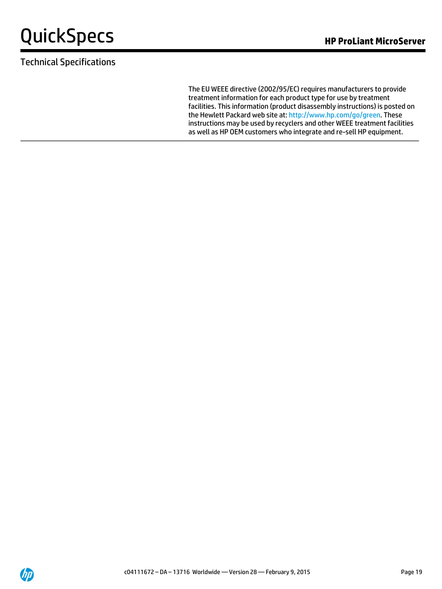# Technical Specifications

The EU WEEE directive (2002/95/EC) requires manufacturers to provide treatment information for each product type for use by treatment facilities. This information (product disassembly instructions) is posted on the Hewlett Packard web site at[: http://www.hp.com/go/green.](http://www.hp.com/go/green) These instructions may be used by recyclers and other WEEE treatment facilities as well as HP OEM customers who integrate and re-sell HP equipment.

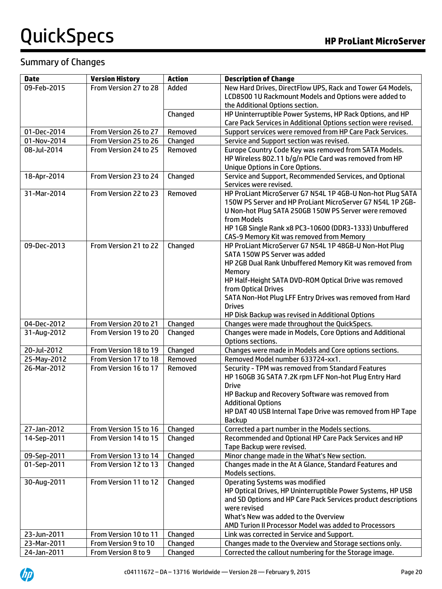## Summary of Changes

| <b>Date</b>                | <b>Version History</b>                      | <b>Action</b>      | <b>Description of Change</b>                                                                                      |
|----------------------------|---------------------------------------------|--------------------|-------------------------------------------------------------------------------------------------------------------|
| 09-Feb-2015                | From Version 27 to 28                       | Added              | New Hard Drives, DirectFlow UPS, Rack and Tower G4 Models,                                                        |
|                            |                                             |                    | LCD8500 1U Rackmount Models and Options were added to                                                             |
|                            |                                             |                    | the Additional Options section.                                                                                   |
|                            |                                             | Changed            | HP Uninterruptible Power Systems, HP Rack Options, and HP                                                         |
|                            |                                             |                    | Care Pack Services in Additional Options section were revised.                                                    |
| 01-Dec-2014                | From Version 26 to 27                       | Removed            | Support services were removed from HP Care Pack Services.                                                         |
| 01-Nov-2014                | From Version 25 to 26                       | Changed            | Service and Support section was revised.                                                                          |
| 08-Jul-2014                | From Version 24 to 25                       | Removed            | Europe Country Code Key was removed from SATA Models.                                                             |
|                            |                                             |                    | HP Wireless 802.11 b/g/n PCIe Card was removed from HP                                                            |
| 18-Apr-2014                | From Version 23 to 24                       | Changed            | <b>Unique Options in Core Options.</b><br>Service and Support, Recommended Services, and Optional                 |
|                            |                                             |                    | Services were revised.                                                                                            |
| 31-Mar-2014                | From Version 22 to 23                       | Removed            | HP ProLiant MicroServer G7 N54L 1P 4GB-U Non-hot Plug SATA                                                        |
|                            |                                             |                    | 150W PS Server and HP ProLiant MicroServer G7 N54L 1P 2GB-                                                        |
|                            |                                             |                    | U Non-hot Plug SATA 250GB 150W PS Server were removed                                                             |
|                            |                                             |                    | from Models                                                                                                       |
|                            |                                             |                    | HP 1GB Single Rank x8 PC3-10600 (DDR3-1333) Unbuffered                                                            |
|                            |                                             |                    | CAS-9 Memory Kit was removed from Memory                                                                          |
| 09-Dec-2013                | From Version 21 to 22                       | Changed            | HP ProLiant MicroServer G7 N54L 1P 48GB-U Non-Hot Plug                                                            |
|                            |                                             |                    | SATA 150W PS Server was added                                                                                     |
|                            |                                             |                    | HP 2GB Dual Rank Unbuffered Memory Kit was removed from                                                           |
|                            |                                             |                    | Memory                                                                                                            |
|                            |                                             |                    | HP Half-Height SATA DVD-ROM Optical Drive was removed                                                             |
|                            |                                             |                    | from Optical Drives                                                                                               |
|                            |                                             |                    | SATA Non-Hot Plug LFF Entry Drives was removed from Hard                                                          |
|                            |                                             |                    | <b>Drives</b>                                                                                                     |
|                            |                                             |                    | HP Disk Backup was revised in Additional Options                                                                  |
| 04-Dec-2012                | From Version 20 to 21                       | Changed            | Changes were made throughout the QuickSpecs.                                                                      |
| 31-Aug-2012                | From Version 19 to 20                       | Changed            | Changes were made in Models, Core Options and Additional                                                          |
| 20-Jul-2012                | From Version 18 to 19                       |                    | Options sections.                                                                                                 |
| 25-May-2012                | From Version 17 to 18                       | Changed<br>Removed | Changes were made in Models and Core options sections.<br>Removed Model number 633724-xx1.                        |
| 26-Mar-2012                | From Version 16 to 17                       | Removed            | Security - TPM was removed from Standard Features                                                                 |
|                            |                                             |                    | HP 160GB 3G SATA 7.2K rpm LFF Non-hot Plug Entry Hard                                                             |
|                            |                                             |                    | <b>Drive</b>                                                                                                      |
|                            |                                             |                    | HP Backup and Recovery Software was removed from                                                                  |
|                            |                                             |                    | <b>Additional Options</b>                                                                                         |
|                            |                                             |                    | HP DAT 40 USB Internal Tape Drive was removed from HP Tape                                                        |
|                            |                                             |                    | <b>Backup</b>                                                                                                     |
| 27-Jan-2012                | From Version 15 to 16                       | Changed            | Corrected a part number in the Models sections.                                                                   |
| 14-Sep-2011                | From Version 14 to 15                       | Changed            | Recommended and Optional HP Care Pack Services and HP                                                             |
|                            |                                             |                    | Tape Backup were revised.                                                                                         |
| 09-Sep-2011                | From Version 13 to 14                       | Changed            | Minor change made in the What's New section.                                                                      |
| 01-Sep-2011                | From Version 12 to 13                       | Changed            | Changes made in the At A Glance, Standard Features and                                                            |
|                            |                                             |                    | Models sections.                                                                                                  |
| 30-Aug-2011                | From Version 11 to 12                       | Changed            | <b>Operating Systems was modified</b>                                                                             |
|                            |                                             |                    | HP Optical Drives, HP Uninterruptible Power Systems, HP USB                                                       |
|                            |                                             |                    | and SD Options and HP Care Pack Services product descriptions                                                     |
|                            |                                             |                    | were revised                                                                                                      |
|                            |                                             |                    | What's New was added to the Overview                                                                              |
|                            |                                             |                    | AMD Turion II Processor Model was added to Processors                                                             |
| 23-Jun-2011                | From Version 10 to 11                       | Changed            | Link was corrected in Service and Support.                                                                        |
| 23-Mar-2011<br>24-Jan-2011 | From Version 9 to 10<br>From Version 8 to 9 | Changed            | Changes made to the Overview and Storage sections only.<br>Corrected the callout numbering for the Storage image. |
|                            |                                             | Changed            |                                                                                                                   |